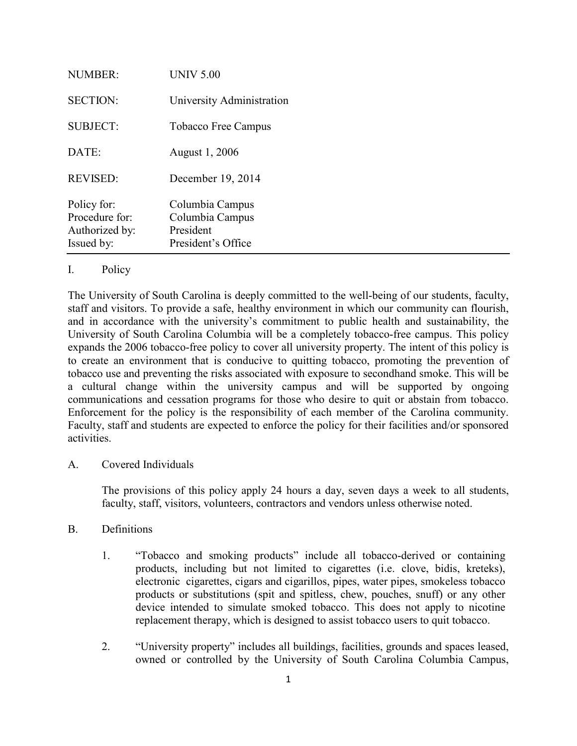| <b>NUMBER:</b>                                                | <b>UNIV 5.00</b>                                                      |
|---------------------------------------------------------------|-----------------------------------------------------------------------|
| <b>SECTION:</b>                                               | University Administration                                             |
| <b>SUBJECT:</b>                                               | Tobacco Free Campus                                                   |
| DATE:                                                         | August 1, 2006                                                        |
| <b>REVISED:</b>                                               | December 19, 2014                                                     |
| Policy for:<br>Procedure for:<br>Authorized by:<br>Issued by: | Columbia Campus<br>Columbia Campus<br>President<br>President's Office |

# I. Policy

The University of South Carolina is deeply committed to the well-being of our students, faculty, staff and visitors. To provide a safe, healthy environment in which our community can flourish, and in accordance with the university's commitment to public health and sustainability, the University of South Carolina Columbia will be a completely tobacco-free campus. This policy expands the 2006 tobacco-free policy to cover all university property. The intent of this policy is to create an environment that is conducive to quitting tobacco, promoting the prevention of tobacco use and preventing the risks associated with exposure to secondhand smoke. This will be a cultural change within the university campus and will be supported by ongoing communications and cessation programs for those who desire to quit or abstain from tobacco. Enforcement for the policy is the responsibility of each member of the Carolina community. Faculty, staff and students are expected to enforce the policy for their facilities and/or sponsored activities.

## A. Covered Individuals

The provisions of this policy apply 24 hours a day, seven days a week to all students, faculty, staff, visitors, volunteers, contractors and vendors unless otherwise noted.

## B. Definitions

- 1. "Tobacco and smoking products" include all tobacco-derived or containing products, including but not limited to cigarettes (i.e. clove, bidis, kreteks), electronic cigarettes, cigars and cigarillos, pipes, water pipes, smokeless tobacco products or substitutions (spit and spitless, chew, pouches, snuff) or any other device intended to simulate smoked tobacco. This does not apply to nicotine replacement therapy, which is designed to assist tobacco users to quit tobacco.
- 2. "University property" includes all buildings, facilities, grounds and spaces leased, owned or controlled by the University of South Carolina Columbia Campus,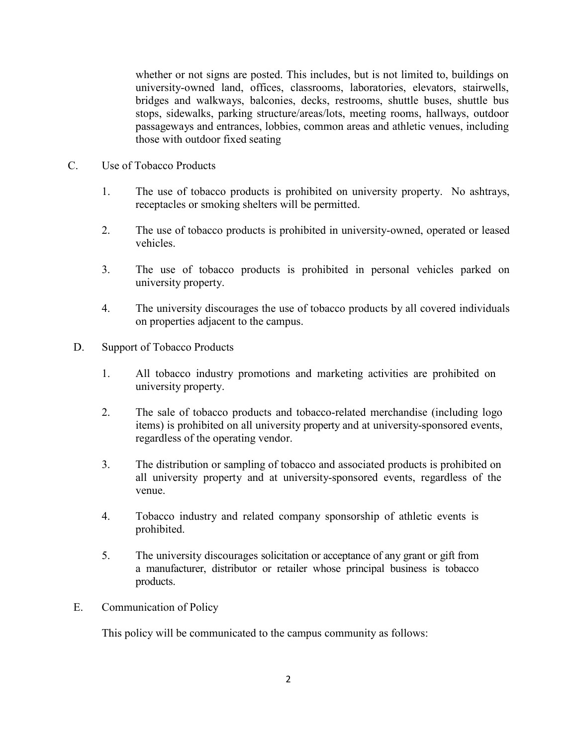whether or not signs are posted. This includes, but is not limited to, buildings on university-owned land, offices, classrooms, laboratories, elevators, stairwells, bridges and walkways, balconies, decks, restrooms, shuttle buses, shuttle bus stops, sidewalks, parking structure/areas/lots, meeting rooms, hallways, outdoor passageways and entrances, lobbies, common areas and athletic venues, including those with outdoor fixed seating

- C. Use of Tobacco Products
	- 1. The use of tobacco products is prohibited on university property. No ashtrays, receptacles or smoking shelters will be permitted.
	- 2. The use of tobacco products is prohibited in university-owned, operated or leased vehicles.
	- 3. The use of tobacco products is prohibited in personal vehicles parked on university property.
	- 4. The university discourages the use of tobacco products by all covered individuals on properties adjacent to the campus.
- D. Support of Tobacco Products
	- 1. All tobacco industry promotions and marketing activities are prohibited on university property.
	- 2. The sale of tobacco products and tobacco-related merchandise (including logo items) is prohibited on all university property and at university-sponsored events, regardless of the operating vendor.
	- 3. The distribution or sampling of tobacco and associated products is prohibited on all university property and at university-sponsored events, regardless of the venue.
	- 4. Tobacco industry and related company sponsorship of athletic events is prohibited.
	- 5. The university discourages solicitation or acceptance of any grant or gift from a manufacturer, distributor or retailer whose principal business is tobacco products.
- E. Communication of Policy

This policy will be communicated to the campus community as follows: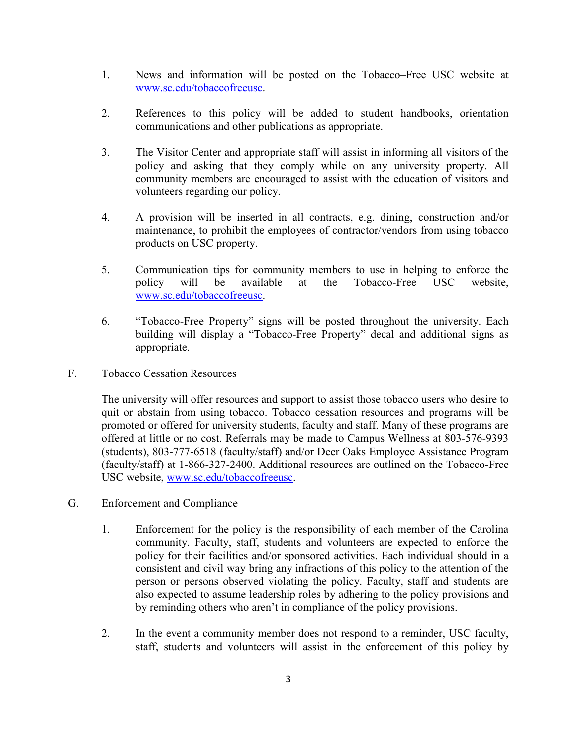- 1. News and information will be posted on the Tobacco–Free USC website at [www.sc.edu/tobaccofreeusc.](http://www.sc.edu/tobaccofreeusc)
- 2. References to this policy will be added to student handbooks, orientation communications and other publications as appropriate.
- 3. The Visitor Center and appropriate staff will assist in informing all visitors of the policy and asking that they comply while on any university property. All community members are encouraged to assist with the education of visitors and volunteers regarding our policy.
- 4. A provision will be inserted in all contracts, e.g. dining, construction and/or maintenance, to prohibit the employees of contractor/vendors from using tobacco products on USC property.
- 5. Communication tips for community members to use in helping to enforce the policy will be available at the Tobacco-Free USC website, [www.sc.edu/tobaccofreeusc.](http://www.sc.edu/tobaccofreeusc)
- 6. "Tobacco-Free Property" signs will be posted throughout the university. Each building will display a "Tobacco-Free Property" decal and additional signs as appropriate.
- F. Tobacco Cessation Resources

The university will offer resources and support to assist those tobacco users who desire to quit or abstain from using tobacco. Tobacco cessation resources and programs will be promoted or offered for university students, faculty and staff. Many of these programs are offered at little or no cost. Referrals may be made to Campus Wellness at 803-576-9393 (students), 803-777-6518 (faculty/staff) and/or Deer Oaks Employee Assistance Program (faculty/staff) at 1-866-327-2400. Additional resources are outlined on the Tobacco-Free USC website, [www.sc.edu/tobaccofreeusc.](http://www.sc.edu/tobaccofreeusc)

- G. Enforcement and Compliance
	- 1. Enforcement for the policy is the responsibility of each member of the Carolina community. Faculty, staff, students and volunteers are expected to enforce the policy for their facilities and/or sponsored activities. Each individual should in a consistent and civil way bring any infractions of this policy to the attention of the person or persons observed violating the policy. Faculty, staff and students are also expected to assume leadership roles by adhering to the policy provisions and by reminding others who aren't in compliance of the policy provisions.
	- 2. In the event a community member does not respond to a reminder, USC faculty, staff, students and volunteers will assist in the enforcement of this policy by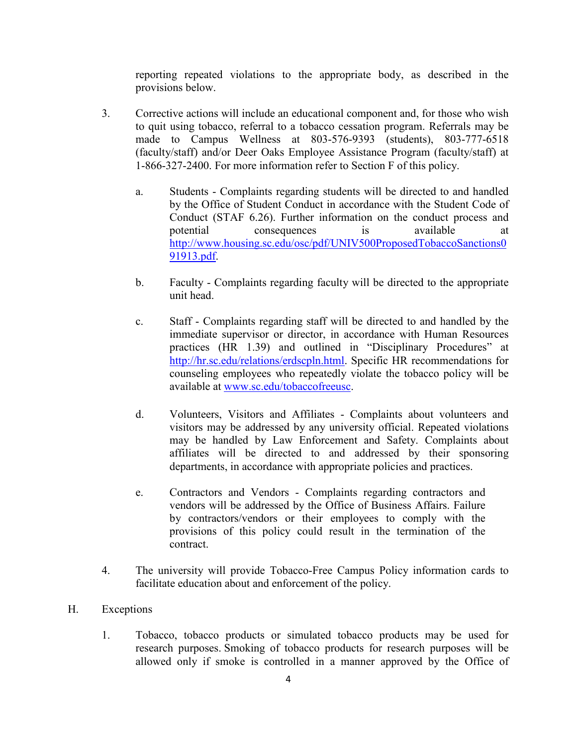reporting repeated violations to the appropriate body, as described in the provisions below.

- 3. Corrective actions will include an educational component and, for those who wish to quit using tobacco, referral to a tobacco cessation program. Referrals may be made to Campus Wellness at 803-576-9393 (students), 803-777-6518 (faculty/staff) and/or Deer Oaks Employee Assistance Program (faculty/staff) at 1-866-327-2400. For more information refer to Section F of this policy.
	- a. Students Complaints regarding students will be directed to and handled by the Office of Student Conduct in accordance with the Student Code of Conduct (STAF 6.26). Further information on the conduct process and potential consequences is available at [http://www.housing.sc.edu/osc/pdf/UNIV500ProposedTobaccoSanctions0](http://www.housing.sc.edu/osc/pdf/UNIV500ProposedTobaccoSanctions091913.pdf) [91913.pdf.](http://www.housing.sc.edu/osc/pdf/UNIV500ProposedTobaccoSanctions091913.pdf)
	- b. Faculty Complaints regarding faculty will be directed to the appropriate unit head.
	- c. Staff Complaints regarding staff will be directed to and handled by the immediate supervisor or director, in accordance with Human Resources practices (HR 1.39) and outlined in "Disciplinary Procedures" at [http://hr.sc.edu/relations/erdscpln.html.](http://hr.sc.edu/relations/erdscpln.html) Specific HR recommendations for counseling employees who repeatedly violate the tobacco policy will be available at [www.sc.edu/tobaccofreeusc.](http://www.sc.edu/tobaccofreeusc)
	- d. Volunteers, Visitors and Affiliates Complaints about volunteers and visitors may be addressed by any university official. Repeated violations may be handled by Law Enforcement and Safety. Complaints about affiliates will be directed to and addressed by their sponsoring departments, in accordance with appropriate policies and practices.
	- e. Contractors and Vendors Complaints regarding contractors and vendors will be addressed by the Office of Business Affairs. Failure by contractors/vendors or their employees to comply with the provisions of this policy could result in the termination of the contract.
- 4. The university will provide Tobacco-Free Campus Policy information cards to facilitate education about and enforcement of the policy.

## H. Exceptions

1. Tobacco, tobacco products or simulated tobacco products may be used for research purposes. Smoking of tobacco products for research purposes will be allowed only if smoke is controlled in a manner approved by the Office of